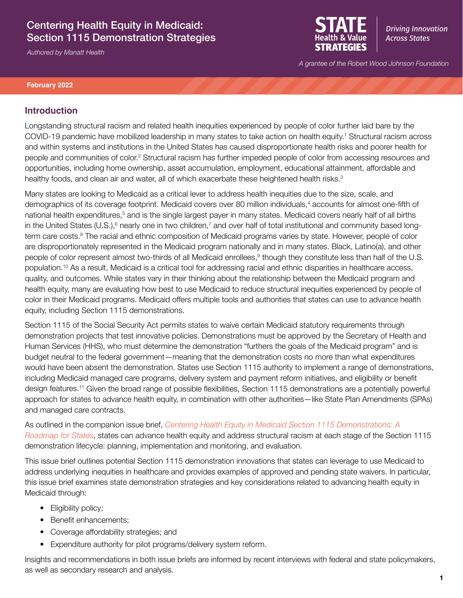## Centering Health Equity in Medicaid: Section 1115 Demonstration Strategies

*Authored by Manatt Health*



**Driving Innovation Across States** 

*A grantee of the Robert Wood Johnson Foundation*

#### **February 2022**

### **Introduction**

Longstanding structural racism and related health inequities experienced by people of color further laid bare by the COVID-19 pandemic have mobilized leadership in many states to take action on health equity.1 Structural racism across and within systems and institutions in the United States has caused disproportionate health risks and poorer health for people and communities of color.<sup>2</sup> Structural racism has further impeded people of color from accessing resources and opportunities, including home ownership, asset accumulation, employment, educational attainment, affordable and healthy foods, and clean air and water, all of which exacerbate these heightened health risks.<sup>3</sup>

Many states are looking to Medicaid as a critical lever to address health inequities due to the size, scale, and demographics of its coverage footprint. Medicaid covers over 80 million individuals,<sup>4</sup> accounts for almost one-fifth of national health expenditures,<sup>5</sup> and is the single largest payer in many states. Medicaid covers nearly half of all births in the United States (U.S.),<sup>6</sup> nearly one in two children,<sup>7</sup> and over half of total institutional and community based longterm care costs.<sup>8</sup> The racial and ethnic composition of Medicaid programs varies by state. However, people of color are disproportionately represented in the Medicaid program nationally and in many states. Black, Latino(a), and other people of color represent almost two-thirds of all Medicaid enrollees,<sup>9</sup> though they constitute less than half of the U.S. population.10 As a result, Medicaid is a critical tool for addressing racial and ethnic disparities in healthcare access, quality, and outcomes. While states vary in their thinking about the relationship between the Medicaid program and health equity, many are evaluating how best to use Medicaid to reduce structural inequities experienced by people of color in their Medicaid programs. Medicaid offers multiple tools and authorities that states can use to advance health equity, including Section 1115 demonstrations.

Section 1115 of the Social Security Act permits states to waive certain Medicaid statutory requirements through demonstration projects that test innovative policies. Demonstrations must be approved by the Secretary of Health and Human Services (HHS), who must determine the demonstration "furthers the goals of the Medicaid program" and is budget neutral to the federal government—meaning that the demonstration costs no more than what expenditures would have been absent the demonstration. States use Section 1115 authority to implement a range of demonstrations, including Medicaid managed care programs, delivery system and payment reform initiatives, and eligibility or benefit design features.11 Given the broad range of possible flexibilities, Section 1115 demonstrations are a potentially powerful approach for states to advance health equity, in combination with other authorities—like State Plan Amendments (SPAs) and managed care contracts.

As outlined in the companion issue brief, *[Centering Health Equity in Medicaid Section 1115 Demonstrations: A](https://www.shvs.org/wp-content/uploads/2022/02/Demonstrations-Health-Equity-Strategies-final.pdf)  [Roadmap for States](https://www.shvs.org/wp-content/uploads/2022/02/Demonstrations-Health-Equity-Strategies-final.pdf)*, states can advance health equity and address structural racism at each stage of the Section 1115 demonstration lifecycle: planning, implementation and monitoring, and evaluation.

This issue brief outlines potential Section 1115 demonstration innovations that states can leverage to use Medicaid to address underlying inequities in healthcare and provides examples of approved and pending state waivers. In particular, this issue brief examines state demonstration strategies and key considerations related to advancing health equity in Medicaid through:

- Eligibility policy;
- Benefit enhancements:
- Coverage affordability strategies; and
- Expenditure authority for pilot programs/delivery system reform.

Insights and recommendations in both issue briefs are informed by recent interviews with federal and state policymakers, as well as secondary research and analysis.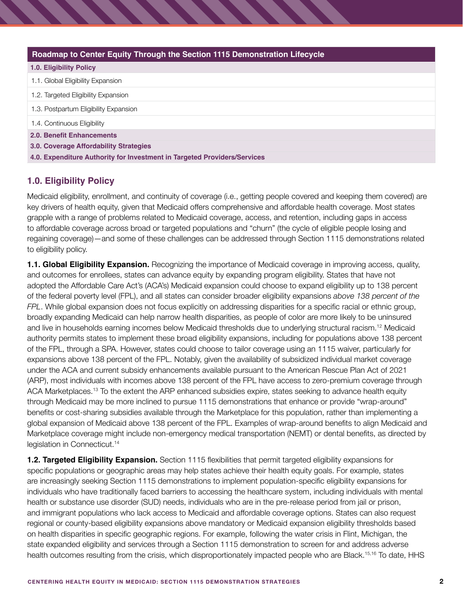| Roadmap to Center Equity Through the Section 1115 Demonstration Lifecycle |  |  |
|---------------------------------------------------------------------------|--|--|
| <b>1.0. Eligibility Policy</b>                                            |  |  |
| 1.1. Global Eligibility Expansion                                         |  |  |
| 1.2. Targeted Eligibility Expansion                                       |  |  |
| 1.3. Postpartum Eligibility Expansion                                     |  |  |
| 1.4. Continuous Eligibility                                               |  |  |
| 2.0. Benefit Enhancements                                                 |  |  |
| 3.0. Coverage Affordability Strategies                                    |  |  |
| 4.0. Expenditure Authority for Investment in Targeted Providers/Services  |  |  |

## **1.0. Eligibility Policy**

Medicaid eligibility, enrollment, and continuity of coverage (i.e., getting people covered and keeping them covered) are key drivers of health equity, given that Medicaid offers comprehensive and affordable health coverage. Most states grapple with a range of problems related to Medicaid coverage, access, and retention, including gaps in access to affordable coverage across broad or targeted populations and "churn" (the cycle of eligible people losing and regaining coverage)—and some of these challenges can be addressed through Section 1115 demonstrations related to eligibility policy.

**1.1. Global Eligibility Expansion.** Recognizing the importance of Medicaid coverage in improving access, quality, and outcomes for enrollees, states can advance equity by expanding program eligibility. States that have not adopted the Affordable Care Act's (ACA's) Medicaid expansion could choose to expand eligibility up to 138 percent of the federal poverty level (FPL), and all states can consider broader eligibility expansions *above 138 percent of the FPL*. While global expansion does not focus explicitly on addressing disparities for a specific racial or ethnic group, broadly expanding Medicaid can help narrow health disparities, as people of color are more likely to be uninsured and live in households earning incomes below Medicaid thresholds due to underlying structural racism.12 Medicaid authority permits states to implement these broad eligibility expansions, including for populations above 138 percent of the FPL, through a SPA. However, states could choose to tailor coverage using an 1115 waiver, particularly for expansions above 138 percent of the FPL. Notably, given the availability of subsidized individual market coverage under the ACA and current subsidy enhancements available pursuant to the American Rescue Plan Act of 2021 (ARP), most individuals with incomes above 138 percent of the FPL have access to zero-premium coverage through ACA Marketplaces.13 To the extent the ARP enhanced subsidies expire, states seeking to advance health equity through Medicaid may be more inclined to pursue 1115 demonstrations that enhance or provide "wrap-around" benefits or cost-sharing subsidies available through the Marketplace for this population, rather than implementing a global expansion of Medicaid above 138 percent of the FPL. Examples of wrap-around benefits to align Medicaid and Marketplace coverage might include non-emergency medical transportation (NEMT) or dental benefits, as directed by legislation in Connecticut.<sup>14</sup>

**1.2. Targeted Eligibility Expansion.** Section 1115 flexibilities that permit targeted eligibility expansions for specific populations or geographic areas may help states achieve their health equity goals. For example, states are increasingly seeking Section 1115 demonstrations to implement population-specific eligibility expansions for individuals who have traditionally faced barriers to accessing the healthcare system, including individuals with mental health or substance use disorder (SUD) needs, individuals who are in the pre-release period from jail or prison, and immigrant populations who lack access to Medicaid and affordable coverage options. States can also request regional or county-based eligibility expansions above mandatory or Medicaid expansion eligibility thresholds based on health disparities in specific geographic regions. For example, following the water crisis in Flint, Michigan, the state expanded eligibility and services through a Section 1115 demonstration to screen for and address adverse health outcomes resulting from the crisis, which disproportionately impacted people who are Black.<sup>15,16</sup> To date, HHS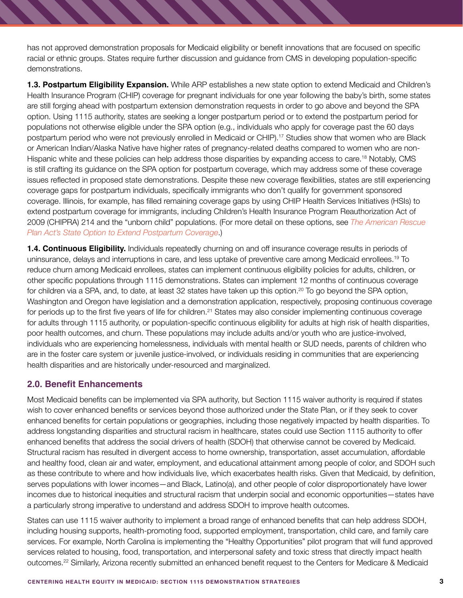has not approved demonstration proposals for Medicaid eligibility or benefit innovations that are focused on specific racial or ethnic groups. States require further discussion and guidance from CMS in developing population-specific demonstrations.

**1.3. Postpartum Eligibility Expansion.** While ARP establishes a new state option to extend Medicaid and Children's Health Insurance Program (CHIP) coverage for pregnant individuals for one year following the baby's birth, some states are still forging ahead with postpartum extension demonstration requests in order to go above and beyond the SPA option. Using 1115 authority, states are seeking a longer postpartum period or to extend the postpartum period for populations not otherwise eligible under the SPA option (e.g., individuals who apply for coverage past the 60 days postpartum period who were not previously enrolled in Medicaid or CHIP).17 Studies show that women who are Black or American Indian/Alaska Native have higher rates of pregnancy-related deaths compared to women who are non-Hispanic white and these policies can help address those disparities by expanding access to care.18 Notably, CMS is still crafting its guidance on the SPA option for postpartum coverage, which may address some of these coverage issues reflected in proposed state demonstrations. Despite these new coverage flexibilities, states are still experiencing coverage gaps for postpartum individuals, specifically immigrants who don't qualify for government sponsored coverage. Illinois, for example, has filled remaining coverage gaps by using CHIP Health Services Initiatives (HSIs) to extend postpartum coverage for immigrants, including Children's Health Insurance Program Reauthorization Act of 2009 (CHIPRA) 214 and the "unborn child" populations. (For more detail on these options, see *[The American Rescue](https://www.shvs.org/wp-content/uploads/2021/04/ARP-Postpartum-Extension.pdf)  [Plan Act's State Option to Extend Postpartum Coverage](https://www.shvs.org/wp-content/uploads/2021/04/ARP-Postpartum-Extension.pdf)*.)

**1.4. Continuous Eligibility.** Individuals repeatedly churning on and off insurance coverage results in periods of uninsurance, delays and interruptions in care, and less uptake of preventive care among Medicaid enrollees.19 To reduce churn among Medicaid enrollees, states can implement continuous eligibility policies for adults, children, or other specific populations through 1115 demonstrations. States can implement 12 months of continuous coverage for children via a SPA, and, to date, at least 32 states have taken up this option.<sup>20</sup> To go beyond the SPA option, Washington and Oregon have legislation and a demonstration application, respectively, proposing continuous coverage for periods up to the first five years of life for children.<sup>21</sup> States may also consider implementing continuous coverage for adults through 1115 authority, or population-specific continuous eligibility for adults at high risk of health disparities, poor health outcomes, and churn. These populations may include adults and/or youth who are justice-involved, individuals who are experiencing homelessness, individuals with mental health or SUD needs, parents of children who are in the foster care system or juvenile justice-involved, or individuals residing in communities that are experiencing health disparities and are historically under-resourced and marginalized.

### **2.0. Benefit Enhancements**

Most Medicaid benefits can be implemented via SPA authority, but Section 1115 waiver authority is required if states wish to cover enhanced benefits or services beyond those authorized under the State Plan, or if they seek to cover enhanced benefits for certain populations or geographies, including those negatively impacted by health disparities. To address longstanding disparities and structural racism in healthcare, states could use Section 1115 authority to offer enhanced benefits that address the social drivers of health (SDOH) that otherwise cannot be covered by Medicaid. Structural racism has resulted in divergent access to home ownership, transportation, asset accumulation, affordable and healthy food, clean air and water, employment, and educational attainment among people of color, and SDOH such as these contribute to where and how individuals live, which exacerbates health risks. Given that Medicaid, by definition, serves populations with lower incomes—and Black, Latino(a), and other people of color disproportionately have lower incomes due to historical inequities and structural racism that underpin social and economic opportunities—states have a particularly strong imperative to understand and address SDOH to improve health outcomes.

States can use 1115 waiver authority to implement a broad range of enhanced benefits that can help address SDOH, including housing supports, health-promoting food, supported employment, transportation, child care, and family care services. For example, North Carolina is implementing the "Healthy Opportunities" pilot program that will fund approved services related to housing, food, transportation, and interpersonal safety and toxic stress that directly impact health outcomes.22 Similarly, Arizona recently submitted an enhanced benefit request to the Centers for Medicare & Medicaid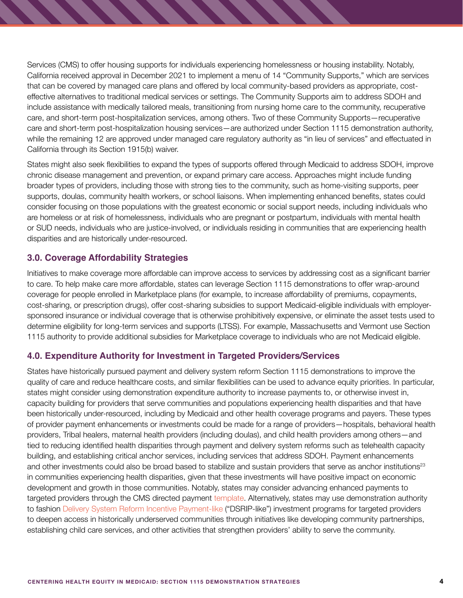Services (CMS) to offer housing supports for individuals experiencing homelessness or housing instability. Notably, California received approval in December 2021 to implement a menu of 14 "Community Supports," which are services that can be covered by managed care plans and offered by local community-based providers as appropriate, costeffective alternatives to traditional medical services or settings. The Community Supports aim to address SDOH and include assistance with medically tailored meals, transitioning from nursing home care to the community, recuperative care, and short-term post-hospitalization services, among others. Two of these Community Supports—recuperative care and short-term post-hospitalization housing services—are authorized under Section 1115 demonstration authority, while the remaining 12 are approved under managed care regulatory authority as "in lieu of services" and effectuated in California through its Section 1915(b) waiver.

States might also seek flexibilities to expand the types of supports offered through Medicaid to address SDOH, improve chronic disease management and prevention, or expand primary care access. Approaches might include funding broader types of providers, including those with strong ties to the community, such as home-visiting supports, peer supports, doulas, community health workers, or school liaisons. When implementing enhanced benefits, states could consider focusing on those populations with the greatest economic or social support needs, including individuals who are homeless or at risk of homelessness, individuals who are pregnant or postpartum, individuals with mental health or SUD needs, individuals who are justice-involved, or individuals residing in communities that are experiencing health disparities and are historically under-resourced.

### **3.0. Coverage Affordability Strategies**

Initiatives to make coverage more affordable can improve access to services by addressing cost as a significant barrier to care. To help make care more affordable, states can leverage Section 1115 demonstrations to offer wrap-around coverage for people enrolled in Marketplace plans (for example, to increase affordability of premiums, copayments, cost-sharing, or prescription drugs), offer cost-sharing subsidies to support Medicaid-eligible individuals with employersponsored insurance or individual coverage that is otherwise prohibitively expensive, or eliminate the asset tests used to determine eligibility for long-term services and supports (LTSS). For example, Massachusetts and Vermont use Section 1115 authority to provide additional subsidies for Marketplace coverage to individuals who are not Medicaid eligible.

## **4.0. Expenditure Authority for Investment in Targeted Providers/Services**

States have historically pursued payment and delivery system reform Section 1115 demonstrations to improve the quality of care and reduce healthcare costs, and similar flexibilities can be used to advance equity priorities. In particular, states might consider using demonstration expenditure authority to increase payments to, or otherwise invest in, capacity building for providers that serve communities and populations experiencing health disparities and that have been historically under-resourced, including by Medicaid and other health coverage programs and payers. These types of provider payment enhancements or investments could be made for a range of providers—hospitals, behavioral health providers, Tribal healers, maternal health providers (including doulas), and child health providers among others—and tied to reducing identified health disparities through payment and delivery system reforms such as telehealth capacity building, and establishing critical anchor services, including services that address SDOH. Payment enhancements and other investments could also be broad based to stabilize and sustain providers that serve as anchor institutions<sup>23</sup> in communities experiencing health disparities, given that these investments will have positive impact on economic development and growth in those communities. Notably, states may consider advancing enhanced payments to targeted providers through the CMS directed payment [template.](https://www.medicaid.gov/sites/default/files/2020-02/438-preprint.pdf) Alternatively, states may use demonstration authority to fashion [Delivery System Reform Incentive Payment-like](https://www.macpac.gov/publication/delivery-system-reform-incentive-payment-dsrip-programs-2/#:~:text=Delivery%20System%20Reform%20Incentive%20Payment%20(DSRIP)%20programs%20are%20a%20new,undertake%20delivery%20system%20transformation%20efforts.) ("DSRIP-like") investment programs for targeted providers to deepen access in historically underserved communities through initiatives like developing community partnerships, establishing child care services, and other activities that strengthen providers' ability to serve the community.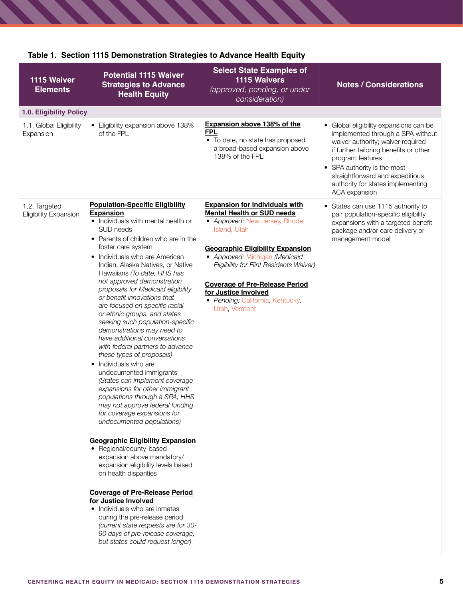| 1115 Waiver<br><b>Elements</b>         | <b>Potential 1115 Waiver</b><br><b>Strategies to Advance</b><br><b>Health Equity</b>                                                                                                                                                                                                                                                                                                                                                                                                                                                                                                                                                                                                                                                                                                                                                                                                                                                                                                                                                                                                                                                                                                                                                                                                                      | <b>Select State Examples of</b><br><b>1115 Waivers</b><br>(approved, pending, or under<br>consideration)                                                                                                                                                                                                                                                                  | <b>Notes / Considerations</b>                                                                                                                                                                                                                                                                          |
|----------------------------------------|-----------------------------------------------------------------------------------------------------------------------------------------------------------------------------------------------------------------------------------------------------------------------------------------------------------------------------------------------------------------------------------------------------------------------------------------------------------------------------------------------------------------------------------------------------------------------------------------------------------------------------------------------------------------------------------------------------------------------------------------------------------------------------------------------------------------------------------------------------------------------------------------------------------------------------------------------------------------------------------------------------------------------------------------------------------------------------------------------------------------------------------------------------------------------------------------------------------------------------------------------------------------------------------------------------------|---------------------------------------------------------------------------------------------------------------------------------------------------------------------------------------------------------------------------------------------------------------------------------------------------------------------------------------------------------------------------|--------------------------------------------------------------------------------------------------------------------------------------------------------------------------------------------------------------------------------------------------------------------------------------------------------|
| 1.0. Eligibility Policy                |                                                                                                                                                                                                                                                                                                                                                                                                                                                                                                                                                                                                                                                                                                                                                                                                                                                                                                                                                                                                                                                                                                                                                                                                                                                                                                           |                                                                                                                                                                                                                                                                                                                                                                           |                                                                                                                                                                                                                                                                                                        |
| 1.1. Global Eligibility<br>Expansion   | • Eligibility expansion above 138%<br>of the FPL                                                                                                                                                                                                                                                                                                                                                                                                                                                                                                                                                                                                                                                                                                                                                                                                                                                                                                                                                                                                                                                                                                                                                                                                                                                          | <b>Expansion above 138% of the</b><br><b>FPL</b><br>• To date, no state has proposed<br>a broad-based expansion above<br>138% of the FPL                                                                                                                                                                                                                                  | • Global eligibility expansions can be<br>implemented through a SPA without<br>waiver authority; waiver required<br>if further tailoring benefits or other<br>program features<br>• SPA authority is the most<br>straightforward and expeditious<br>authority for states implementing<br>ACA expansion |
| 1.2. Targeted<br>Eligibility Expansion | <b>Population-Specific Eligibility</b><br><b>Expansion</b><br>• Individuals with mental health or<br>SUD needs<br>• Parents of children who are in the<br>foster care system<br>• Individuals who are American<br>Indian, Alaska Natives, or Native<br>Hawaiians (To date, HHS has<br>not approved demonstration<br>proposals for Medicaid eligibility<br>or benefit innovations that<br>are focused on specific racial<br>or ethnic groups, and states<br>seeking such population-specific<br>demonstrations may need to<br>have additional conversations<br>with federal partners to advance<br>these types of proposals)<br>• Individuals who are<br>undocumented immigrants<br>(States can implement coverage<br>expansions for other immigrant<br>populations through a SPA; HHS<br>may not approve federal funding<br>for coverage expansions for<br>undocumented populations)<br><b>Geographic Eligibility Expansion</b><br>• Regional/county-based<br>expansion above mandatory/<br>expansion eligibility levels based<br>on health disparities<br><b>Coverage of Pre-Release Period</b><br>for Justice Involved<br>• Individuals who are inmates<br>during the pre-release period<br>(current state requests are for 30-<br>90 days of pre-release coverage,<br>but states could request longer) | <b>Expansion for Individuals with</b><br><b>Mental Health or SUD needs</b><br>• Approved: New Jersey, Rhode<br>Island, Utah<br><b>Geographic Eligibility Expansion</b><br>• Approved: Michigan (Medicaid<br>Eligibility for Flint Residents Waiver)<br><b>Coverage of Pre-Release Period</b><br>for Justice Involved<br>· Pending: California, Kentucky,<br>Utah, Vermont | • States can use 1115 authority to<br>pair population-specific eligibility<br>expansions with a targeted benefit<br>package and/or care delivery or<br>management model                                                                                                                                |

## **Table 1. Section 1115 Demonstration Strategies to Advance Health Equity**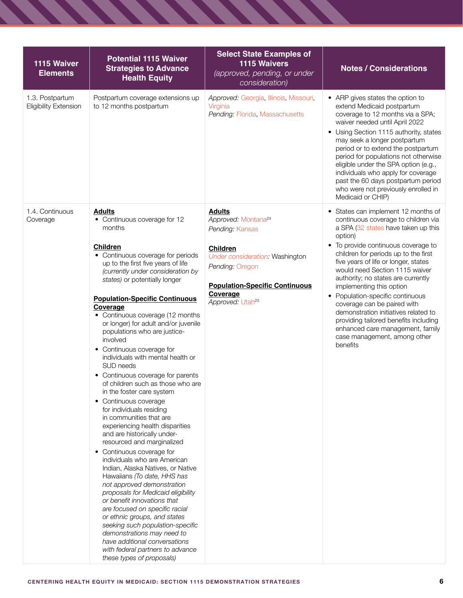| 1115 Waiver<br><b>Elements</b>                  | <b>Potential 1115 Waiver</b><br><b>Strategies to Advance</b><br><b>Health Equity</b>                                                                                                                                                                                                                                                                                                                                                                                                                                                                                                                                                                                                                                                                                                                                                                                                                                                                                                                                                                                                                                                                      | <b>Select State Examples of</b><br>1115 Waivers<br>(approved, pending, or under<br>consideration)                                                   | <b>Notes / Considerations</b>                                                                                                                                                                                                                                                                                                                                                                                                                                                |
|-------------------------------------------------|-----------------------------------------------------------------------------------------------------------------------------------------------------------------------------------------------------------------------------------------------------------------------------------------------------------------------------------------------------------------------------------------------------------------------------------------------------------------------------------------------------------------------------------------------------------------------------------------------------------------------------------------------------------------------------------------------------------------------------------------------------------------------------------------------------------------------------------------------------------------------------------------------------------------------------------------------------------------------------------------------------------------------------------------------------------------------------------------------------------------------------------------------------------|-----------------------------------------------------------------------------------------------------------------------------------------------------|------------------------------------------------------------------------------------------------------------------------------------------------------------------------------------------------------------------------------------------------------------------------------------------------------------------------------------------------------------------------------------------------------------------------------------------------------------------------------|
| 1.3. Postpartum<br><b>Eligibility Extension</b> | Postpartum coverage extensions up<br>to 12 months postpartum                                                                                                                                                                                                                                                                                                                                                                                                                                                                                                                                                                                                                                                                                                                                                                                                                                                                                                                                                                                                                                                                                              | Approved: Georgia, Illinois, Missouri,<br>Virginia<br>Pending: Florida, Massachusetts                                                               | • ARP gives states the option to<br>extend Medicaid postpartum<br>coverage to 12 months via a SPA;<br>waiver needed until April 2022<br>• Using Section 1115 authority, states<br>may seek a longer postpartum<br>period or to extend the postpartum<br>period for populations not otherwise<br>eligible under the SPA option (e.g.,<br>individuals who apply for coverage<br>past the 60 days postpartum period<br>who were not previously enrolled in<br>Medicaid or CHIP) |
| 1.4. Continuous<br>Coverage                     | <b>Adults</b><br>• Continuous coverage for 12<br>months                                                                                                                                                                                                                                                                                                                                                                                                                                                                                                                                                                                                                                                                                                                                                                                                                                                                                                                                                                                                                                                                                                   | <b>Adults</b><br>Approved: Montana <sup>24</sup><br>Pending: Kansas                                                                                 | • States can implement 12 months of<br>continuous coverage to children via<br>a SPA (32 states have taken up this<br>option)                                                                                                                                                                                                                                                                                                                                                 |
|                                                 | Children<br>• Continuous coverage for periods<br>up to the first five years of life<br>(currently under consideration by<br>states) or potentially longer<br><b>Population-Specific Continuous</b><br>Coverage<br>• Continuous coverage (12 months<br>or longer) for adult and/or juvenile<br>populations who are justice-<br>involved<br>• Continuous coverage for<br>individuals with mental health or<br>SUD needs<br>• Continuous coverage for parents<br>of children such as those who are<br>in the foster care system<br>• Continuous coverage<br>for individuals residing<br>in communities that are<br>experiencing health disparities<br>and are historically under-<br>resourced and marginalized<br>• Continuous coverage for<br>individuals who are American<br>Indian, Alaska Natives, or Native<br>Hawaiians (To date, HHS has<br>not approved demonstration<br>proposals for Medicaid eligibility<br>or benefit innovations that<br>are focused on specific racial<br>or ethnic groups, and states<br>seeking such population-specific<br>demonstrations may need to<br>have additional conversations<br>with federal partners to advance | Children<br>Under consideration: Washington<br>Pending: Oregon<br><b>Population-Specific Continuous</b><br>Coverage<br>Approved: Utah <sup>25</sup> | • To provide continuous coverage to<br>children for periods up to the first<br>five years of life or longer, states<br>would need Section 1115 waiver<br>authority; no states are currently<br>implementing this option<br>• Population-specific continuous<br>coverage can be paired with<br>demonstration initiatives related to<br>providing tailored benefits including<br>enhanced care management, family<br>case management, among other<br>benefits                  |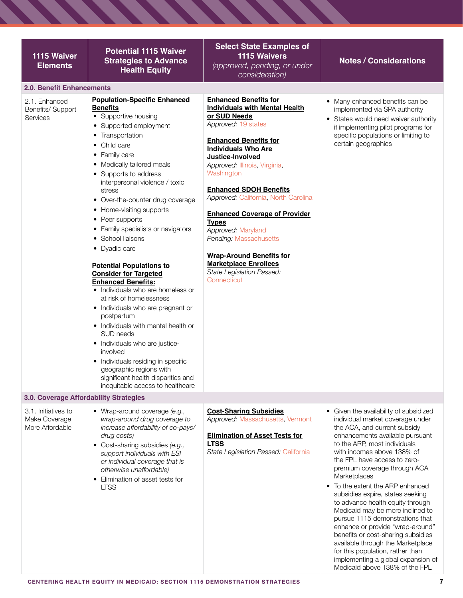| 1115 Waiver<br><b>Elements</b>                          | <b>Potential 1115 Waiver</b><br><b>Strategies to Advance</b><br><b>Health Equity</b>                                                                                                                                                                                                                                                                                                                                                                                                                                                                                                                                                                                                                                                                                                                                                                                                                  | <b>Select State Examples of</b><br><b>1115 Waivers</b><br>(approved, pending, or under<br>consideration)                                                                                                                                                                                                                                                                                                                                                                                                                                      | <b>Notes / Considerations</b>                                                                                                                                                                                                                                                                                                                                                                                                                                                                                                                                                                                                                                                                             |
|---------------------------------------------------------|-------------------------------------------------------------------------------------------------------------------------------------------------------------------------------------------------------------------------------------------------------------------------------------------------------------------------------------------------------------------------------------------------------------------------------------------------------------------------------------------------------------------------------------------------------------------------------------------------------------------------------------------------------------------------------------------------------------------------------------------------------------------------------------------------------------------------------------------------------------------------------------------------------|-----------------------------------------------------------------------------------------------------------------------------------------------------------------------------------------------------------------------------------------------------------------------------------------------------------------------------------------------------------------------------------------------------------------------------------------------------------------------------------------------------------------------------------------------|-----------------------------------------------------------------------------------------------------------------------------------------------------------------------------------------------------------------------------------------------------------------------------------------------------------------------------------------------------------------------------------------------------------------------------------------------------------------------------------------------------------------------------------------------------------------------------------------------------------------------------------------------------------------------------------------------------------|
| 2.0. Benefit Enhancements                               |                                                                                                                                                                                                                                                                                                                                                                                                                                                                                                                                                                                                                                                                                                                                                                                                                                                                                                       |                                                                                                                                                                                                                                                                                                                                                                                                                                                                                                                                               |                                                                                                                                                                                                                                                                                                                                                                                                                                                                                                                                                                                                                                                                                                           |
| 2.1. Enhanced<br>Benefits/ Support<br>Services          | <b>Population-Specific Enhanced</b><br><b>Benefits</b><br>• Supportive housing<br>• Supported employment<br>Transportation<br>٠<br>Child care<br>٠<br>• Family care<br>• Medically tailored meals<br>• Supports to address<br>interpersonal violence / toxic<br>stress<br>• Over-the-counter drug coverage<br>• Home-visiting supports<br>• Peer supports<br>• Family specialists or navigators<br>• School liaisons<br>• Dyadic care<br><b>Potential Populations to</b><br><b>Consider for Targeted</b><br><b>Enhanced Benefits:</b><br>• Individuals who are homeless or<br>at risk of homelessness<br>• Individuals who are pregnant or<br>postpartum<br>• Individuals with mental health or<br>SUD needs<br>• Individuals who are justice-<br>involved<br>• Individuals residing in specific<br>geographic regions with<br>significant health disparities and<br>inequitable access to healthcare | <b>Enhanced Benefits for</b><br><b>Individuals with Mental Health</b><br>or SUD Needs<br>Approved: 19 states<br><b>Enhanced Benefits for</b><br><b>Individuals Who Are</b><br>Justice-Involved<br>Approved: Illinois, Virginia,<br>Washington<br><b>Enhanced SDOH Benefits</b><br>Approved: California, North Carolina<br><b>Enhanced Coverage of Provider</b><br><b>Types</b><br>Approved: Maryland<br>Pending: Massachusetts<br><b>Wrap-Around Benefits for</b><br><b>Marketplace Enrollees</b><br>State Legislation Passed:<br>Connecticut | • Many enhanced benefits can be<br>implemented via SPA authority<br>• States would need waiver authority<br>if implementing pilot programs for<br>specific populations or limiting to<br>certain geographies                                                                                                                                                                                                                                                                                                                                                                                                                                                                                              |
| 3.0. Coverage Affordability Strategies                  |                                                                                                                                                                                                                                                                                                                                                                                                                                                                                                                                                                                                                                                                                                                                                                                                                                                                                                       |                                                                                                                                                                                                                                                                                                                                                                                                                                                                                                                                               |                                                                                                                                                                                                                                                                                                                                                                                                                                                                                                                                                                                                                                                                                                           |
| 3.1. Initiatives to<br>Make Coverage<br>More Affordable | • Wrap-around coverage (e.g.,<br>wrap-around drug coverage to<br>increase affordability of co-pays/<br>drug costs)<br>• Cost-sharing subsidies (e.g.,<br>support individuals with ESI<br>or individual coverage that is<br>otherwise unaffordable)<br>• Elimination of asset tests for<br><b>LTSS</b>                                                                                                                                                                                                                                                                                                                                                                                                                                                                                                                                                                                                 | <b>Cost-Sharing Subsidies</b><br>Approved: Massachusetts, Vermont<br><b>Elimination of Asset Tests for</b><br><b>LTSS</b><br>State Legislation Passed: California                                                                                                                                                                                                                                                                                                                                                                             | • Given the availability of subsidized<br>individual market coverage under<br>the ACA, and current subsidy<br>enhancements available pursuant<br>to the ARP, most individuals<br>with incomes above 138% of<br>the FPL have access to zero-<br>premium coverage through ACA<br>Marketplaces<br>• To the extent the ARP enhanced<br>subsidies expire, states seeking<br>to advance health equity through<br>Medicaid may be more inclined to<br>pursue 1115 demonstrations that<br>enhance or provide "wrap-around"<br>benefits or cost-sharing subsidies<br>available through the Marketplace<br>for this population, rather than<br>implementing a global expansion of<br>Medicaid above 138% of the FPL |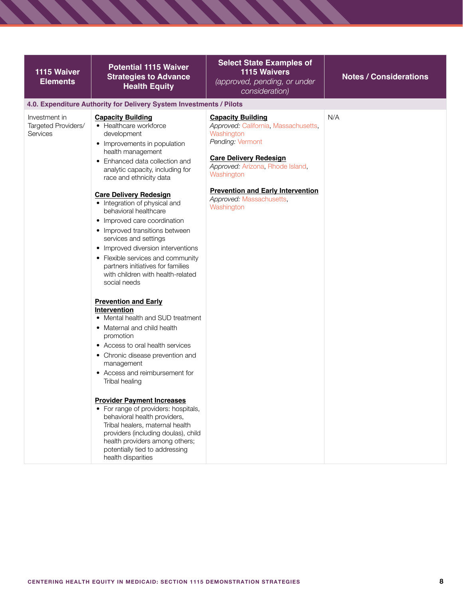| 1115 Waiver<br><b>Elements</b>                   | <b>Potential 1115 Waiver</b><br><b>Strategies to Advance</b><br><b>Health Equity</b>                                                                                                                                                                                                                                                                                                                                                                                                                                                                                                                                                                                                                                                                                                                                                                                                                                                                                                                                                                                                                                                                                                                      | <b>Select State Examples of</b><br><b>1115 Waivers</b><br>(approved, pending, or under<br>consideration)                                                                                                                                                                    | <b>Notes / Considerations</b> |
|--------------------------------------------------|-----------------------------------------------------------------------------------------------------------------------------------------------------------------------------------------------------------------------------------------------------------------------------------------------------------------------------------------------------------------------------------------------------------------------------------------------------------------------------------------------------------------------------------------------------------------------------------------------------------------------------------------------------------------------------------------------------------------------------------------------------------------------------------------------------------------------------------------------------------------------------------------------------------------------------------------------------------------------------------------------------------------------------------------------------------------------------------------------------------------------------------------------------------------------------------------------------------|-----------------------------------------------------------------------------------------------------------------------------------------------------------------------------------------------------------------------------------------------------------------------------|-------------------------------|
| Investment in<br>Targeted Providers/<br>Services | 4.0. Expenditure Authority for Delivery System Investments / Pilots<br><b>Capacity Building</b><br>• Healthcare workforce<br>development<br>• Improvements in population<br>health management<br>• Enhanced data collection and<br>analytic capacity, including for<br>race and ethnicity data<br><b>Care Delivery Redesign</b><br>• Integration of physical and<br>behavioral healthcare<br>• Improved care coordination<br>• Improved transitions between<br>services and settings<br>• Improved diversion interventions<br>• Flexible services and community<br>partners initiatives for families<br>with children with health-related<br>social needs<br><b>Prevention and Early</b><br>Intervention<br>• Mental health and SUD treatment<br>• Maternal and child health<br>promotion<br>• Access to oral health services<br>• Chronic disease prevention and<br>management<br>Access and reimbursement for<br>$\bullet$<br>Tribal healing<br><b>Provider Payment Increases</b><br>• For range of providers: hospitals,<br>behavioral health providers,<br>Tribal healers, maternal health<br>providers (including doulas), child<br>health providers among others;<br>potentially tied to addressing | <b>Capacity Building</b><br>Approved: California, Massachusetts,<br>Washington<br>Pending: Vermont<br><b>Care Delivery Redesign</b><br>Approved: Arizona, Rhode Island,<br>Washington<br><b>Prevention and Early Intervention</b><br>Approved: Massachusetts,<br>Washington | N/A                           |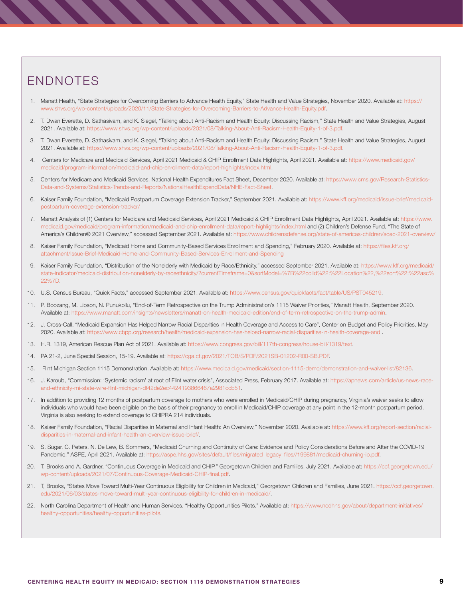## ENDNOTES

- 1. Manatt Health, "State Strategies for Overcoming Barriers to Advance Health Equity," State Health and Value Strategies, November 2020. Available at: [https://](https://www.shvs.org/wp-content/uploads/2020/11/State-Strategies-for-Overcoming-Barriers-to-Advance-Health-Equity.pdf) [www.shvs.org/wp-content/uploads/2020/11/State-Strategies-for-Overcoming-Barriers-to-Advance-Health-Equity.pdf.](https://www.shvs.org/wp-content/uploads/2020/11/State-Strategies-for-Overcoming-Barriers-to-Advance-Health-Equity.pdf)
- 2. T. Dwan Everette, D. Sathasivam, and K. Siegel, "Talking about Anti-Racism and Health Equity: Discussing Racism," State Health and Value Strategies, August 2021. Available at: [https://www.shvs.org/wp-content/uploads/2021/08/Talking-About-Anti-Racism-Health-Equity-1-of-3.pdf.](https://www.shvs.org/wp-content/uploads/2021/08/Talking-About-Anti-Racism-Health-Equity-1-of-3.pdf)
- 3. T. Dwan Everette, D. Sathasivam, and K. Siegel, "Talking about Anti-Racism and Health Equity: Discussing Racism," State Health and Value Strategies, August 2021. Available at: [https://www.shvs.org/wp-content/uploads/2021/08/Talking-About-Anti-Racism-Health-Equity-1-of-3.pdf.](https://www.shvs.org/wp-content/uploads/2021/08/Talking-About-Anti-Racism-Health-Equity-1-of-3.pdf)
- 4. Centers for Medicare and Medicaid Services, April 2021 Medicaid & CHIP Enrollment Data Highlights, April 2021. Available at: [https://www.medicaid.gov/](https://www.medicaid.gov/medicaid/program-information/medicaid-and-chip-enrollment-data/report-highlights/index.html) [medicaid/program-information/medicaid-and-chip-enrollment-data/report-highlights/index.html.](https://www.medicaid.gov/medicaid/program-information/medicaid-and-chip-enrollment-data/report-highlights/index.html)
- 5. Centers for Medicare and Medicaid Services, National Health Expenditures Fact Sheet, December 2020. Available at: [https://www.cms.gov/Research-Statistics-](https://www.cms.gov/Research-Statistics-Data-and-Systems/Statistics-Trends-and-Reports/NationalHealthExpendData/NHE-Fact-Sheet)[Data-and-Systems/Statistics-Trends-and-Reports/NationalHealthExpendData/NHE-Fact-Sheet](https://www.cms.gov/Research-Statistics-Data-and-Systems/Statistics-Trends-and-Reports/NationalHealthExpendData/NHE-Fact-Sheet).
- 6. Kaiser Family Foundation, "Medicaid Postpartum Coverage Extension Tracker," September 2021. Available at: [https://www.kff.org/medicaid/issue-brief/medicaid](https://www.kff.org/medicaid/issue-brief/medicaid-postpartum-coverage-extension-tracker/)[postpartum-coverage-extension-tracker/](https://www.kff.org/medicaid/issue-brief/medicaid-postpartum-coverage-extension-tracker/)
- 7. Manatt Analysis of (1) Centers for Medicare and Medicaid Services, April 2021 Medicaid & CHIP Enrollment Data Highlights, April 2021. Available at: [https://www.](https://www.medicaid.gov/medicaid/program-information/medicaid-and-chip-enrollment-data/report-highlights/index.html) [medicaid.gov/medicaid/program-information/medicaid-and-chip-enrollment-data/report-highlights/index.html](https://www.medicaid.gov/medicaid/program-information/medicaid-and-chip-enrollment-data/report-highlights/index.html) and (2) Children's Defense Fund, "The State of America's Children® 2021 Overview," accessed September 2021. Available at:<https://www.childrensdefense.org/state-of-americas-children/soac-2021-overview/>
- 8. Kaiser Family Foundation, "Medicaid Home and Community-Based Services Enrollment and Spending," February 2020. Available at: [https://files.kff.org/](https://files.kff.org/attachment/Issue-Brief-Medicaid-Home-and-Community-Based-Services-Enrollment-and-Spending) [attachment/Issue-Brief-Medicaid-Home-and-Community-Based-Services-Enrollment-and-Spending](https://files.kff.org/attachment/Issue-Brief-Medicaid-Home-and-Community-Based-Services-Enrollment-and-Spending)
- 9. Kaiser Family Foundation, "Distribution of the Nonelderly with Medicaid by Race/Ethnicity," accessed September 2021. Available at: [https://www.kff.org/medicaid/](https://www.kff.org/medicaid/state-indicator/medicaid-distribution-nonelderly-by-raceethnicity/?currentTimeframe=0&sortModel=%7B%22colId%22:%22Location%22,%22sort%22:%22asc%22%7D) [state-indicator/medicaid-distribution-nonelderly-by-raceethnicity/?currentTimeframe=0&sortModel=%7B%22colId%22:%22Location%22,%22sort%22:%22asc%](https://www.kff.org/medicaid/state-indicator/medicaid-distribution-nonelderly-by-raceethnicity/?currentTimeframe=0&sortModel=%7B%22colId%22:%22Location%22,%22sort%22:%22asc%22%7D) [22%7D](https://www.kff.org/medicaid/state-indicator/medicaid-distribution-nonelderly-by-raceethnicity/?currentTimeframe=0&sortModel=%7B%22colId%22:%22Location%22,%22sort%22:%22asc%22%7D).
- 10. U.S. Census Bureau, "Quick Facts," accessed September 2021. Available at: [https://www.census.gov/quickfacts/fact/table/US/PST045219.](https://www.census.gov/quickfacts/fact/table/US/PST045219)
- 11. P. Boozang, M. Lipson, N. Punukollu, "End-of-Term Retrospective on the Trump Administration's 1115 Waiver Priorities," Manatt Health, September 2020. Available at: [https://www.manatt.com/insights/newsletters/manatt-on-health-medicaid-edition/end-of-term-retrospective-on-the-trump-admin.](https://www.manatt.com/insights/newsletters/manatt-on-health-medicaid-edition/end-of-term-retrospective-on-the-trump-admin)
- 12. J. Cross-Call, "Medicaid Expansion Has Helped Narrow Racial Disparities in Health Coverage and Access to Care", Center on Budget and Policy Priorities, May 2020. Available at:<https://www.cbpp.org/research/health/medicaid-expansion-has-helped-narrow-racial-disparities-in-health-coverage-and>.
- 13. H.R. 1319, American Rescue Plan Act of 2021. Available at: [https://www.congress.gov/bill/117th-congress/house-bill/1319/text.](https://www.congress.gov/bill/117th-congress/house-bill/1319/text)
- 14. PA 21-2, June Special Session, 15-19. Available at:<https://cga.ct.gov/2021/TOB/S/PDF/2021SB-01202-R00-SB.PDF>.
- 15. Flint Michigan Section 1115 Demonstration. Available at:<https://www.medicaid.gov/medicaid/section-1115-demo/demonstration-and-waiver-list/82136>.
- 16. J. Karoub, "Commission: 'Systemic racism' at root of Flint water crisis", Associated Press, February 2017. Available at: [https://apnews.com/article/us-news-race](https://apnews.com/article/us-news-race-and-ethnicity-mi-state-wire-flint-michigan-df42de2ec4424193866467a2981ccb51)[and-ethnicity-mi-state-wire-flint-michigan-df42de2ec4424193866467a2981ccb51](https://apnews.com/article/us-news-race-and-ethnicity-mi-state-wire-flint-michigan-df42de2ec4424193866467a2981ccb51).
- 17. In addition to providing 12 months of postpartum coverage to mothers who were enrolled in Medicaid/CHIP during pregnancy, Virginia's waiver seeks to allow individuals who would have been eligible on the basis of their pregnancy to enroll in Medicaid/CHIP coverage at any point in the 12-month postpartum period. Virginia is also seeking to extend coverage to CHIPRA 214 individuals.
- 18. Kaiser Family Foundation, "Racial Disparities in Maternal and Infant Health: An Overview," November 2020. Available at: [https://www.kff.org/report-section/racial](https://www.kff.org/report-section/racial-disparities-in-maternal-and-infant-health-an-overview-issue-brief/)[disparities-in-maternal-and-infant-health-an-overview-issue-brief/](https://www.kff.org/report-section/racial-disparities-in-maternal-and-infant-health-an-overview-issue-brief/).
- 19. S. Sugar, C. Peters, N. De Lew, B. Sommers, "Medicaid Churning and Continuity of Care: Evidence and Policy Considerations Before and After the COVID-19 Pandemic," ASPE, April 2021. Available at: [https://aspe.hhs.gov/sites/default/files/migrated\\_legacy\\_files//199881/medicaid-churning-ib.pdf](https://aspe.hhs.gov/sites/default/files/migrated_legacy_files//199881/medicaid-churning-ib.pdf).
- 20. T. Brooks and A. Gardner, "Continuous Coverage in Medicaid and CHIP," Georgetown Children and Families, July 2021. Available at: [https://ccf.georgetown.edu/](https://ccf.georgetown.edu/wp-content/uploads/2021/07/Continuous-Coverage-Medicaid-CHIP-final.pdf) [wp-content/uploads/2021/07/Continuous-Coverage-Medicaid-CHIP-final.pdf](https://ccf.georgetown.edu/wp-content/uploads/2021/07/Continuous-Coverage-Medicaid-CHIP-final.pdf).
- 21. T, Brooks, "States Move Toward Multi-Year Continuous Eligibility for Children in Medicaid," Georgetown Children and Families, June 2021. [https://ccf.georgetown.](https://ccf.georgetown.edu/2021/06/03/states-move-toward-multi-year-continuous-eligibility-for-children-in-medicaid/) [edu/2021/06/03/states-move-toward-multi-year-continuous-eligibility-for-children-in-medicaid/.](https://ccf.georgetown.edu/2021/06/03/states-move-toward-multi-year-continuous-eligibility-for-children-in-medicaid/)
- 22. North Carolina Department of Health and Human Services, "Healthy Opportunities Pilots." Available at: [https://www.ncdhhs.gov/about/department-initiatives/](https://www.ncdhhs.gov/about/department-initiatives/healthy-opportunities/healthy-opportunities-pilots) [healthy-opportunities/healthy-opportunities-pilots.](https://www.ncdhhs.gov/about/department-initiatives/healthy-opportunities/healthy-opportunities-pilots)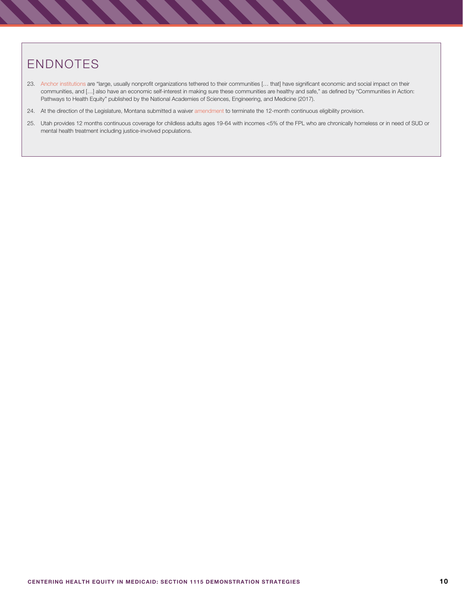# ENDNOTES

- 23. [Anchor institutions](https://www.nap.edu/resource/24624/anchor-institutions/) are "large, usually nonprofit organizations tethered to their communities [… that] have significant economic and social impact on their communities, and […] also have an economic self-interest in making sure these communities are healthy and safe," as defined by "Communities in Action: Pathways to Health Equity" published by the National Academies of Sciences, Engineering, and Medicine (2017).
- 24. At the direction of the Legislature, Montana submitted a waiver [amendment](https://www.medicaid.gov/medicaid/section-1115-demonstrations/downloads/mt-wasp-pa.pdf) to terminate the 12-month continuous eligibility provision.
- 25. Utah provides 12 months continuous coverage for childless adults ages 19-64 with incomes <5% of the FPL who are chronically homeless or in need of SUD or mental health treatment including justice-involved populations.